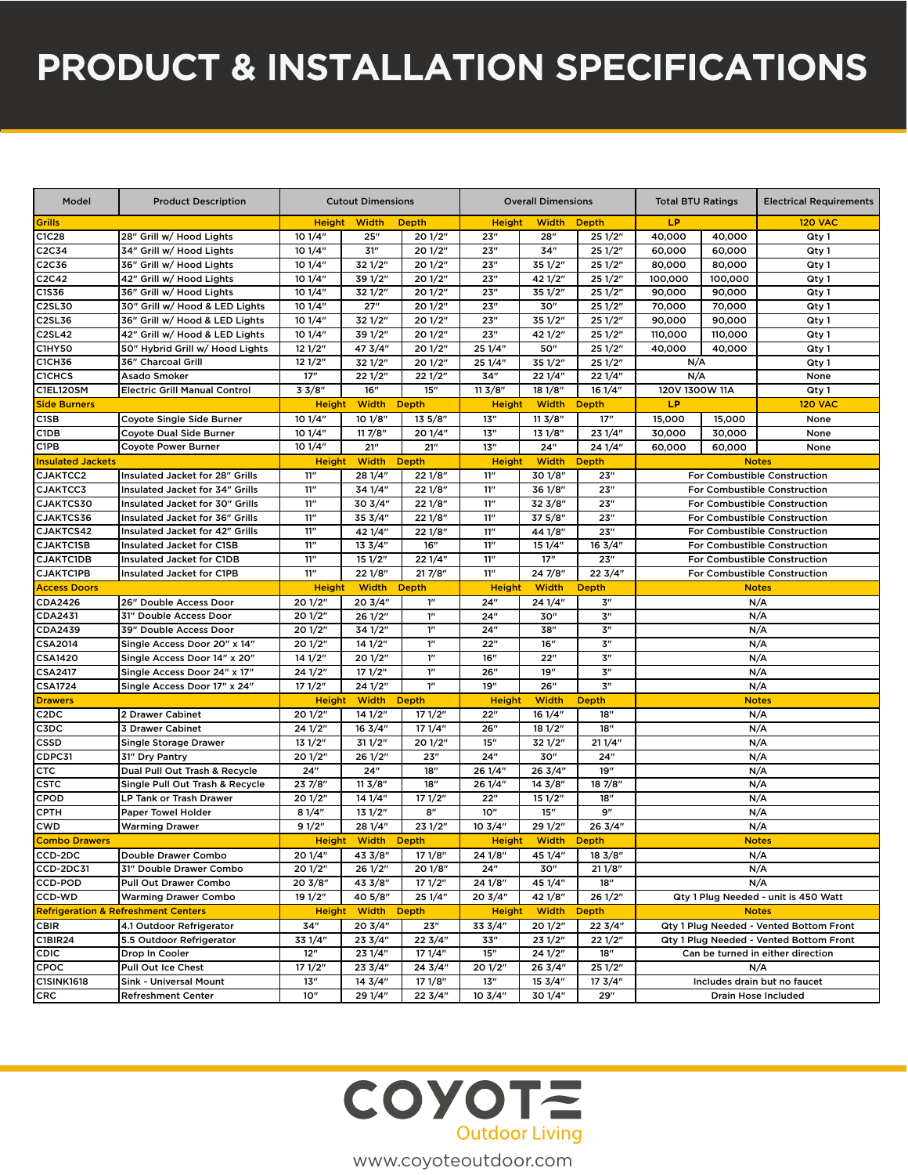# PRODUCT & INSTALLATION SPECIFICATIONS

| LP<br><b>Grills</b><br><b>Height</b><br><b>Width</b><br><b>Depth</b><br><b>Height</b><br><b>Width</b><br><b>Depth</b><br><b>120 VAC</b><br>28" Grill w/ Hood Lights<br>10 1/4"<br>25''<br>23"<br>C1C28<br>20 1/2"<br>28"<br>251/2"<br>40,000<br>40,000<br>Qty 1<br>C2C34<br>34" Grill w/ Hood Lights<br>10 1/4"<br>31"<br>20 1/2"<br>23"<br>34"<br>25 1/2"<br>60,000<br>60,000<br>Qty 1<br>C2C36<br>36" Grill w/ Hood Lights<br>10 1/4"<br>32 1/2"<br>20 1/2"<br>23''<br>35 1/2"<br>25 1/2"<br>80,000<br>80,000<br>Qty 1<br>C2C42<br>42" Grill w/ Hood Lights<br>10 1/4"<br>39 1/2"<br>20 1/2"<br>23"<br>42 1/2"<br>251/2"<br>100,000<br>100,000<br>Qty 1<br>10 1/4"<br>32 1/2"<br>20 1/2"<br>23"<br>35 1/2"<br>25 1/2"<br>C1S36<br>36" Grill w/ Hood Lights<br>90,000<br>90,000<br>Qty 1<br>C2SL30<br>30" Grill w/ Hood & LED Lights<br>10 1/4"<br>27"<br>20 1/2"<br>23"<br>30"<br>25 1/2"<br>70,000<br>70,000<br>Qty 1<br>C2SL36<br>36" Grill w/ Hood & LED Lights<br>32 1/2"<br>20 1/2"<br>23"<br>35 1/2"<br>10 1/4"<br>251/2"<br>90,000<br>90,000<br>Qty 1<br>23"<br>C2SL42<br>10 1/4"<br>39 1/2"<br>20 1/2"<br>42 1/2"<br>110,000<br>42" Grill w/ Hood & LED Lights<br>251/2"<br>110,000<br>Qty 1<br>C1HY50<br>50" Hybrid Grill w/ Hood Lights<br>121/2"<br>47 3/4"<br>20 1/2"<br>25 1/4"<br>50"<br>25 1/2"<br>40,000<br>40,000<br>Qty 1<br><b>C1CH36</b><br>121/2"<br>32 1/2"<br>20 1/2"<br>25 1/4"<br>35 1/2"<br>25 1/2"<br>36" Charcoal Grill<br>N/A<br>Qty 1<br><b>C1CHCS</b><br>17"<br>22 1/2"<br>221/2"<br>34"<br>22 1/4"<br>22 1/4"<br>N/A<br>Asado Smoker<br>None<br>16"<br>15"<br>C1EL120SM<br><b>Electric Grill Manual Control</b><br>33/8"<br>113/8"<br>181/8"<br>16 1/4"<br>120V 1300W 11A<br>Qty 1<br><b>Width</b><br><b>Width</b><br>LP<br><b>Side Burners</b><br><b>Height</b><br><b>Depth</b><br><b>Height</b><br><b>Depth</b><br><b>120 VAC</b><br>C <sub>1</sub> SB<br>10 1/4"<br>10 1/8"<br>13''<br>113/8"<br>17"<br>15,000<br>Coyote Single Side Burner<br>135/8"<br>15,000<br>None<br>10 1/4"<br>C1DB<br><b>Coyote Dual Side Burner</b><br>117/8"<br>20 1/4"<br>13''<br>131/8"<br>30,000<br>30,000<br>23 1/4"<br>None<br>C1PB<br>10 1/4"<br>21"<br>21"<br>13''<br>24"<br>24 1/4"<br>60,000<br>60,000<br>None<br><b>Coyote Power Burner</b><br><b>Height</b><br><b>Depth</b><br><b>Width</b><br><b>Insulated Jackets</b><br><b>Width</b><br><b>Height</b><br><b>Depth</b><br><b>Notes</b><br>CJAKTCC2<br>Insulated Jacket for 28" Grills<br>11''<br>28 1/4"<br>221/8"<br>11"<br>30 1/8"<br>23"<br>For Combustible Construction<br>CJAKTCC3<br>11"<br>34 1/4"<br>221/8"<br>11"<br>36 1/8"<br>23"<br>Insulated Jacket for 34" Grills<br>For Combustible Construction<br>23"<br>CJAKTCS30<br>Insulated Jacket for 30" Grills<br>11"<br>30 3/4"<br>22 1/8"<br>11''<br>32 3/8"<br>For Combustible Construction<br>37 5/8"<br>CJAKTCS36<br>11"<br>35 3/4"<br>22 1/8"<br>11"<br>23"<br>Insulated Jacket for 36" Grills<br>For Combustible Construction<br>11"<br>11"<br>44 1/8"<br>23"<br>CJAKTCS42<br>Insulated Jacket for 42" Grills<br>42 1/4"<br>221/8"<br>For Combustible Construction<br>11"<br>16"<br>11"<br><b>CJAKTC1SB</b><br>133/4"<br>15 1/4"<br>16 3/4"<br><b>Insulated Jacket for C1SB</b><br><b>For Combustible Construction</b><br>$11^{\prime\prime}$<br>17"<br>23"<br>11"<br>151/2"<br><b>CJAKTC1DB</b><br><b>Insulated Jacket for C1DB</b><br>22 1/4"<br>For Combustible Construction<br>11"<br>11"<br><b>CJAKTC1PB</b><br>22 1/8"<br>217/8"<br>24 7/8"<br>22 3/4"<br><b>Insulated Jacket for C1PB</b><br>For Combustible Construction<br><b>Access Doors</b><br><b>Height</b><br><b>Width Depth</b><br><b>Height</b><br><b>Width</b><br><b>Depth</b><br><b>Notes</b><br>CDA2426<br>20 1/2"<br>20 3/4"<br>1 <sup>''</sup><br>24"<br>24 1/4"<br>3''<br>26" Double Access Door<br>N/A<br>1 <sup>n</sup><br>3''<br>CDA2431<br>20 1/2"<br>261/2"<br>24"<br>30"<br>N/A<br>31" Double Access Door<br>3''<br>CDA2439<br>$1^{\prime\prime}$<br>24"<br>38"<br>39" Double Access Door<br>20 1/2"<br>34 1/2"<br>N/A<br>1 <sup>n</sup><br>3''<br><b>CSA2014</b><br>20 1/2"<br>141/2"<br>16"<br>N/A<br>Single Access Door 20" x 14"<br>22"<br>1 <sup>n</sup><br><b>CSA1420</b><br>Single Access Door 14" x 20"<br>14 1/2"<br>20 1/2"<br>16"<br>22"<br>3"<br>N/A<br>1 <sup>n</sup><br>19"<br>3''<br><b>CSA2417</b><br>24 1/2"<br>171/2"<br>26"<br>N/A<br>Single Access Door 24" x 17"<br>1''<br>26"<br>3''<br><b>CSA1724</b><br>171/2"<br>24 1/2"<br>19"<br>N/A<br>Single Access Door 17" x 24"<br>Width Depth<br><b>Height</b><br><b>Height</b><br><b>Width</b><br><b>Depth</b><br><b>Notes</b><br><b>Drawers</b><br>C <sub>2</sub> D <sub>C</sub><br>20 1/2"<br>14 1/2"<br>171/2"<br>16 1/4"<br>18"<br>2 Drawer Cabinet<br>22"<br>N/A<br>24 1/2"<br>16 3/4"<br>171/4"<br>26"<br>181/2"<br>18"<br>C3DC<br><b>3 Drawer Cabinet</b><br>N/A<br>131/2"<br>311/2"<br>20 1/2"<br>15"<br>32 1/2"<br>211/4"<br>N/A<br>CSSD<br><b>Single Storage Drawer</b><br>CDPC31<br>20 1/2"<br>261/2"<br>23''<br>24"<br>30"<br>24"<br>N/A<br>31" Dry Pantry<br>N/A<br><b>CTC</b><br>24"<br>24"<br>18"<br>26 1/4"<br>26 3/4"<br>19"<br>Dual Pull Out Trash & Recycle<br><b>CSTC</b><br>23 7/8"<br>113/8"<br>18"<br>26 1/4"<br>$14 \frac{3}{8}$<br>18 7/8"<br>N/A<br>Single Pull Out Trash & Recycle<br>20 1/2"<br>14 1/4"<br>171/2"<br>22"<br>151/2"<br>18"<br>N/A<br><b>CPOD</b><br>LP Tank or Trash Drawer<br>8"<br>15"<br>9"<br><b>CPTH</b><br>81/4"<br>131/2"<br>10"<br>N/A<br>Paper Towel Holder<br>231/2"<br>29 1/2"<br>28 1/4"<br>$10 \frac{3}{4}$<br>26 3/4"<br><b>CWD</b><br><b>Warming Drawer</b><br>91/2"<br>N/A<br><b>Combo Drawers</b><br><b>Height Width Depth</b><br><b>Height</b><br><b>Width Depth</b><br><b>Notes</b><br>CCD-2DC<br>20 1/4"<br>43 3/8"<br>17 1/8"<br>45 1/4"<br>Double Drawer Combo<br>24 1/8"<br>18 3/8"<br>N/A<br>20 1/2"<br>26 1/2"<br>30"<br>211/8"<br>N/A<br>CCD-2DC31<br>31" Double Drawer Combo<br>20 1/8"<br>24" | Model | <b>Product Description</b> | <b>Cutout Dimensions</b> |  | <b>Overall Dimensions</b> |  |  | <b>Total BTU Ratings</b> |  | <b>Electrical Requirements</b> |  |
|---------------------------------------------------------------------------------------------------------------------------------------------------------------------------------------------------------------------------------------------------------------------------------------------------------------------------------------------------------------------------------------------------------------------------------------------------------------------------------------------------------------------------------------------------------------------------------------------------------------------------------------------------------------------------------------------------------------------------------------------------------------------------------------------------------------------------------------------------------------------------------------------------------------------------------------------------------------------------------------------------------------------------------------------------------------------------------------------------------------------------------------------------------------------------------------------------------------------------------------------------------------------------------------------------------------------------------------------------------------------------------------------------------------------------------------------------------------------------------------------------------------------------------------------------------------------------------------------------------------------------------------------------------------------------------------------------------------------------------------------------------------------------------------------------------------------------------------------------------------------------------------------------------------------------------------------------------------------------------------------------------------------------------------------------------------------------------------------------------------------------------------------------------------------------------------------------------------------------------------------------------------------------------------------------------------------------------------------------------------------------------------------------------------------------------------------------------------------------------------------------------------------------------------------------------------------------------------------------------------------------------------------------------------------------------------------------------------------------------------------------------------------------------------------------------------------------------------------------------------------------------------------------------------------------------------------------------------------------------------------------------------------------------------------------------------------------------------------------------------------------------------------------------------------------------------------------------------------------------------------------------------------------------------------------------------------------------------------------------------------------------------------------------------------------------------------------------------------------------------------------------------------------------------------------------------------------------------------------------------------------------------------------------------------------------------------------------------------------------------------------------------------------------------------------------------------------------------------------------------------------------------------------------------------------------------------------------------------------------------------------------------------------------------------------------------------------------------------------------------------------------------------------------------------------------------------------------------------------------------------------------------------------------------------------------------------------------------------------------------------------------------------------------------------------------------------------------------------------------------------------------------------------------------------------------------------------------------------------------------------------------------------------------------------------------------------------------------------------------------------------------------------------------------------------------------------------------------------------------------------------------------------------------------------------------------------------------------------------------------------------------------------------------------------------------------------------------------------------------------------------------------------------------------------------------------------------------------------------------------------------------------------------------------------------------------------------------------------------------------------------------------------------------------------------------------------------------------------------------------------------------------------------------------------------------------------------------------------------------------------------------------------------------------------------------------------------------------------------------------------------------------------------------------------------------------------------------------------------------------------------------------------------------------------------------------------------------------|-------|----------------------------|--------------------------|--|---------------------------|--|--|--------------------------|--|--------------------------------|--|
|                                                                                                                                                                                                                                                                                                                                                                                                                                                                                                                                                                                                                                                                                                                                                                                                                                                                                                                                                                                                                                                                                                                                                                                                                                                                                                                                                                                                                                                                                                                                                                                                                                                                                                                                                                                                                                                                                                                                                                                                                                                                                                                                                                                                                                                                                                                                                                                                                                                                                                                                                                                                                                                                                                                                                                                                                                                                                                                                                                                                                                                                                                                                                                                                                                                                                                                                                                                                                                                                                                                                                                                                                                                                                                                                                                                                                                                                                                                                                                                                                                                                                                                                                                                                                                                                                                                                                                                                                                                                                                                                                                                                                                                                                                                                                                                                                                                                                                                                                                                                                                                                                                                                                                                                                                                                                                                                                                                                                                                                                                                                                                                                                                                                                                                                                                                                                                                                                                                                                               |       |                            |                          |  |                           |  |  |                          |  |                                |  |
|                                                                                                                                                                                                                                                                                                                                                                                                                                                                                                                                                                                                                                                                                                                                                                                                                                                                                                                                                                                                                                                                                                                                                                                                                                                                                                                                                                                                                                                                                                                                                                                                                                                                                                                                                                                                                                                                                                                                                                                                                                                                                                                                                                                                                                                                                                                                                                                                                                                                                                                                                                                                                                                                                                                                                                                                                                                                                                                                                                                                                                                                                                                                                                                                                                                                                                                                                                                                                                                                                                                                                                                                                                                                                                                                                                                                                                                                                                                                                                                                                                                                                                                                                                                                                                                                                                                                                                                                                                                                                                                                                                                                                                                                                                                                                                                                                                                                                                                                                                                                                                                                                                                                                                                                                                                                                                                                                                                                                                                                                                                                                                                                                                                                                                                                                                                                                                                                                                                                                               |       |                            |                          |  |                           |  |  |                          |  |                                |  |
|                                                                                                                                                                                                                                                                                                                                                                                                                                                                                                                                                                                                                                                                                                                                                                                                                                                                                                                                                                                                                                                                                                                                                                                                                                                                                                                                                                                                                                                                                                                                                                                                                                                                                                                                                                                                                                                                                                                                                                                                                                                                                                                                                                                                                                                                                                                                                                                                                                                                                                                                                                                                                                                                                                                                                                                                                                                                                                                                                                                                                                                                                                                                                                                                                                                                                                                                                                                                                                                                                                                                                                                                                                                                                                                                                                                                                                                                                                                                                                                                                                                                                                                                                                                                                                                                                                                                                                                                                                                                                                                                                                                                                                                                                                                                                                                                                                                                                                                                                                                                                                                                                                                                                                                                                                                                                                                                                                                                                                                                                                                                                                                                                                                                                                                                                                                                                                                                                                                                                               |       |                            |                          |  |                           |  |  |                          |  |                                |  |
|                                                                                                                                                                                                                                                                                                                                                                                                                                                                                                                                                                                                                                                                                                                                                                                                                                                                                                                                                                                                                                                                                                                                                                                                                                                                                                                                                                                                                                                                                                                                                                                                                                                                                                                                                                                                                                                                                                                                                                                                                                                                                                                                                                                                                                                                                                                                                                                                                                                                                                                                                                                                                                                                                                                                                                                                                                                                                                                                                                                                                                                                                                                                                                                                                                                                                                                                                                                                                                                                                                                                                                                                                                                                                                                                                                                                                                                                                                                                                                                                                                                                                                                                                                                                                                                                                                                                                                                                                                                                                                                                                                                                                                                                                                                                                                                                                                                                                                                                                                                                                                                                                                                                                                                                                                                                                                                                                                                                                                                                                                                                                                                                                                                                                                                                                                                                                                                                                                                                                               |       |                            |                          |  |                           |  |  |                          |  |                                |  |
|                                                                                                                                                                                                                                                                                                                                                                                                                                                                                                                                                                                                                                                                                                                                                                                                                                                                                                                                                                                                                                                                                                                                                                                                                                                                                                                                                                                                                                                                                                                                                                                                                                                                                                                                                                                                                                                                                                                                                                                                                                                                                                                                                                                                                                                                                                                                                                                                                                                                                                                                                                                                                                                                                                                                                                                                                                                                                                                                                                                                                                                                                                                                                                                                                                                                                                                                                                                                                                                                                                                                                                                                                                                                                                                                                                                                                                                                                                                                                                                                                                                                                                                                                                                                                                                                                                                                                                                                                                                                                                                                                                                                                                                                                                                                                                                                                                                                                                                                                                                                                                                                                                                                                                                                                                                                                                                                                                                                                                                                                                                                                                                                                                                                                                                                                                                                                                                                                                                                                               |       |                            |                          |  |                           |  |  |                          |  |                                |  |
|                                                                                                                                                                                                                                                                                                                                                                                                                                                                                                                                                                                                                                                                                                                                                                                                                                                                                                                                                                                                                                                                                                                                                                                                                                                                                                                                                                                                                                                                                                                                                                                                                                                                                                                                                                                                                                                                                                                                                                                                                                                                                                                                                                                                                                                                                                                                                                                                                                                                                                                                                                                                                                                                                                                                                                                                                                                                                                                                                                                                                                                                                                                                                                                                                                                                                                                                                                                                                                                                                                                                                                                                                                                                                                                                                                                                                                                                                                                                                                                                                                                                                                                                                                                                                                                                                                                                                                                                                                                                                                                                                                                                                                                                                                                                                                                                                                                                                                                                                                                                                                                                                                                                                                                                                                                                                                                                                                                                                                                                                                                                                                                                                                                                                                                                                                                                                                                                                                                                                               |       |                            |                          |  |                           |  |  |                          |  |                                |  |
|                                                                                                                                                                                                                                                                                                                                                                                                                                                                                                                                                                                                                                                                                                                                                                                                                                                                                                                                                                                                                                                                                                                                                                                                                                                                                                                                                                                                                                                                                                                                                                                                                                                                                                                                                                                                                                                                                                                                                                                                                                                                                                                                                                                                                                                                                                                                                                                                                                                                                                                                                                                                                                                                                                                                                                                                                                                                                                                                                                                                                                                                                                                                                                                                                                                                                                                                                                                                                                                                                                                                                                                                                                                                                                                                                                                                                                                                                                                                                                                                                                                                                                                                                                                                                                                                                                                                                                                                                                                                                                                                                                                                                                                                                                                                                                                                                                                                                                                                                                                                                                                                                                                                                                                                                                                                                                                                                                                                                                                                                                                                                                                                                                                                                                                                                                                                                                                                                                                                                               |       |                            |                          |  |                           |  |  |                          |  |                                |  |
|                                                                                                                                                                                                                                                                                                                                                                                                                                                                                                                                                                                                                                                                                                                                                                                                                                                                                                                                                                                                                                                                                                                                                                                                                                                                                                                                                                                                                                                                                                                                                                                                                                                                                                                                                                                                                                                                                                                                                                                                                                                                                                                                                                                                                                                                                                                                                                                                                                                                                                                                                                                                                                                                                                                                                                                                                                                                                                                                                                                                                                                                                                                                                                                                                                                                                                                                                                                                                                                                                                                                                                                                                                                                                                                                                                                                                                                                                                                                                                                                                                                                                                                                                                                                                                                                                                                                                                                                                                                                                                                                                                                                                                                                                                                                                                                                                                                                                                                                                                                                                                                                                                                                                                                                                                                                                                                                                                                                                                                                                                                                                                                                                                                                                                                                                                                                                                                                                                                                                               |       |                            |                          |  |                           |  |  |                          |  |                                |  |
|                                                                                                                                                                                                                                                                                                                                                                                                                                                                                                                                                                                                                                                                                                                                                                                                                                                                                                                                                                                                                                                                                                                                                                                                                                                                                                                                                                                                                                                                                                                                                                                                                                                                                                                                                                                                                                                                                                                                                                                                                                                                                                                                                                                                                                                                                                                                                                                                                                                                                                                                                                                                                                                                                                                                                                                                                                                                                                                                                                                                                                                                                                                                                                                                                                                                                                                                                                                                                                                                                                                                                                                                                                                                                                                                                                                                                                                                                                                                                                                                                                                                                                                                                                                                                                                                                                                                                                                                                                                                                                                                                                                                                                                                                                                                                                                                                                                                                                                                                                                                                                                                                                                                                                                                                                                                                                                                                                                                                                                                                                                                                                                                                                                                                                                                                                                                                                                                                                                                                               |       |                            |                          |  |                           |  |  |                          |  |                                |  |
|                                                                                                                                                                                                                                                                                                                                                                                                                                                                                                                                                                                                                                                                                                                                                                                                                                                                                                                                                                                                                                                                                                                                                                                                                                                                                                                                                                                                                                                                                                                                                                                                                                                                                                                                                                                                                                                                                                                                                                                                                                                                                                                                                                                                                                                                                                                                                                                                                                                                                                                                                                                                                                                                                                                                                                                                                                                                                                                                                                                                                                                                                                                                                                                                                                                                                                                                                                                                                                                                                                                                                                                                                                                                                                                                                                                                                                                                                                                                                                                                                                                                                                                                                                                                                                                                                                                                                                                                                                                                                                                                                                                                                                                                                                                                                                                                                                                                                                                                                                                                                                                                                                                                                                                                                                                                                                                                                                                                                                                                                                                                                                                                                                                                                                                                                                                                                                                                                                                                                               |       |                            |                          |  |                           |  |  |                          |  |                                |  |
|                                                                                                                                                                                                                                                                                                                                                                                                                                                                                                                                                                                                                                                                                                                                                                                                                                                                                                                                                                                                                                                                                                                                                                                                                                                                                                                                                                                                                                                                                                                                                                                                                                                                                                                                                                                                                                                                                                                                                                                                                                                                                                                                                                                                                                                                                                                                                                                                                                                                                                                                                                                                                                                                                                                                                                                                                                                                                                                                                                                                                                                                                                                                                                                                                                                                                                                                                                                                                                                                                                                                                                                                                                                                                                                                                                                                                                                                                                                                                                                                                                                                                                                                                                                                                                                                                                                                                                                                                                                                                                                                                                                                                                                                                                                                                                                                                                                                                                                                                                                                                                                                                                                                                                                                                                                                                                                                                                                                                                                                                                                                                                                                                                                                                                                                                                                                                                                                                                                                                               |       |                            |                          |  |                           |  |  |                          |  |                                |  |
|                                                                                                                                                                                                                                                                                                                                                                                                                                                                                                                                                                                                                                                                                                                                                                                                                                                                                                                                                                                                                                                                                                                                                                                                                                                                                                                                                                                                                                                                                                                                                                                                                                                                                                                                                                                                                                                                                                                                                                                                                                                                                                                                                                                                                                                                                                                                                                                                                                                                                                                                                                                                                                                                                                                                                                                                                                                                                                                                                                                                                                                                                                                                                                                                                                                                                                                                                                                                                                                                                                                                                                                                                                                                                                                                                                                                                                                                                                                                                                                                                                                                                                                                                                                                                                                                                                                                                                                                                                                                                                                                                                                                                                                                                                                                                                                                                                                                                                                                                                                                                                                                                                                                                                                                                                                                                                                                                                                                                                                                                                                                                                                                                                                                                                                                                                                                                                                                                                                                                               |       |                            |                          |  |                           |  |  |                          |  |                                |  |
|                                                                                                                                                                                                                                                                                                                                                                                                                                                                                                                                                                                                                                                                                                                                                                                                                                                                                                                                                                                                                                                                                                                                                                                                                                                                                                                                                                                                                                                                                                                                                                                                                                                                                                                                                                                                                                                                                                                                                                                                                                                                                                                                                                                                                                                                                                                                                                                                                                                                                                                                                                                                                                                                                                                                                                                                                                                                                                                                                                                                                                                                                                                                                                                                                                                                                                                                                                                                                                                                                                                                                                                                                                                                                                                                                                                                                                                                                                                                                                                                                                                                                                                                                                                                                                                                                                                                                                                                                                                                                                                                                                                                                                                                                                                                                                                                                                                                                                                                                                                                                                                                                                                                                                                                                                                                                                                                                                                                                                                                                                                                                                                                                                                                                                                                                                                                                                                                                                                                                               |       |                            |                          |  |                           |  |  |                          |  |                                |  |
|                                                                                                                                                                                                                                                                                                                                                                                                                                                                                                                                                                                                                                                                                                                                                                                                                                                                                                                                                                                                                                                                                                                                                                                                                                                                                                                                                                                                                                                                                                                                                                                                                                                                                                                                                                                                                                                                                                                                                                                                                                                                                                                                                                                                                                                                                                                                                                                                                                                                                                                                                                                                                                                                                                                                                                                                                                                                                                                                                                                                                                                                                                                                                                                                                                                                                                                                                                                                                                                                                                                                                                                                                                                                                                                                                                                                                                                                                                                                                                                                                                                                                                                                                                                                                                                                                                                                                                                                                                                                                                                                                                                                                                                                                                                                                                                                                                                                                                                                                                                                                                                                                                                                                                                                                                                                                                                                                                                                                                                                                                                                                                                                                                                                                                                                                                                                                                                                                                                                                               |       |                            |                          |  |                           |  |  |                          |  |                                |  |
|                                                                                                                                                                                                                                                                                                                                                                                                                                                                                                                                                                                                                                                                                                                                                                                                                                                                                                                                                                                                                                                                                                                                                                                                                                                                                                                                                                                                                                                                                                                                                                                                                                                                                                                                                                                                                                                                                                                                                                                                                                                                                                                                                                                                                                                                                                                                                                                                                                                                                                                                                                                                                                                                                                                                                                                                                                                                                                                                                                                                                                                                                                                                                                                                                                                                                                                                                                                                                                                                                                                                                                                                                                                                                                                                                                                                                                                                                                                                                                                                                                                                                                                                                                                                                                                                                                                                                                                                                                                                                                                                                                                                                                                                                                                                                                                                                                                                                                                                                                                                                                                                                                                                                                                                                                                                                                                                                                                                                                                                                                                                                                                                                                                                                                                                                                                                                                                                                                                                                               |       |                            |                          |  |                           |  |  |                          |  |                                |  |
|                                                                                                                                                                                                                                                                                                                                                                                                                                                                                                                                                                                                                                                                                                                                                                                                                                                                                                                                                                                                                                                                                                                                                                                                                                                                                                                                                                                                                                                                                                                                                                                                                                                                                                                                                                                                                                                                                                                                                                                                                                                                                                                                                                                                                                                                                                                                                                                                                                                                                                                                                                                                                                                                                                                                                                                                                                                                                                                                                                                                                                                                                                                                                                                                                                                                                                                                                                                                                                                                                                                                                                                                                                                                                                                                                                                                                                                                                                                                                                                                                                                                                                                                                                                                                                                                                                                                                                                                                                                                                                                                                                                                                                                                                                                                                                                                                                                                                                                                                                                                                                                                                                                                                                                                                                                                                                                                                                                                                                                                                                                                                                                                                                                                                                                                                                                                                                                                                                                                                               |       |                            |                          |  |                           |  |  |                          |  |                                |  |
|                                                                                                                                                                                                                                                                                                                                                                                                                                                                                                                                                                                                                                                                                                                                                                                                                                                                                                                                                                                                                                                                                                                                                                                                                                                                                                                                                                                                                                                                                                                                                                                                                                                                                                                                                                                                                                                                                                                                                                                                                                                                                                                                                                                                                                                                                                                                                                                                                                                                                                                                                                                                                                                                                                                                                                                                                                                                                                                                                                                                                                                                                                                                                                                                                                                                                                                                                                                                                                                                                                                                                                                                                                                                                                                                                                                                                                                                                                                                                                                                                                                                                                                                                                                                                                                                                                                                                                                                                                                                                                                                                                                                                                                                                                                                                                                                                                                                                                                                                                                                                                                                                                                                                                                                                                                                                                                                                                                                                                                                                                                                                                                                                                                                                                                                                                                                                                                                                                                                                               |       |                            |                          |  |                           |  |  |                          |  |                                |  |
|                                                                                                                                                                                                                                                                                                                                                                                                                                                                                                                                                                                                                                                                                                                                                                                                                                                                                                                                                                                                                                                                                                                                                                                                                                                                                                                                                                                                                                                                                                                                                                                                                                                                                                                                                                                                                                                                                                                                                                                                                                                                                                                                                                                                                                                                                                                                                                                                                                                                                                                                                                                                                                                                                                                                                                                                                                                                                                                                                                                                                                                                                                                                                                                                                                                                                                                                                                                                                                                                                                                                                                                                                                                                                                                                                                                                                                                                                                                                                                                                                                                                                                                                                                                                                                                                                                                                                                                                                                                                                                                                                                                                                                                                                                                                                                                                                                                                                                                                                                                                                                                                                                                                                                                                                                                                                                                                                                                                                                                                                                                                                                                                                                                                                                                                                                                                                                                                                                                                                               |       |                            |                          |  |                           |  |  |                          |  |                                |  |
|                                                                                                                                                                                                                                                                                                                                                                                                                                                                                                                                                                                                                                                                                                                                                                                                                                                                                                                                                                                                                                                                                                                                                                                                                                                                                                                                                                                                                                                                                                                                                                                                                                                                                                                                                                                                                                                                                                                                                                                                                                                                                                                                                                                                                                                                                                                                                                                                                                                                                                                                                                                                                                                                                                                                                                                                                                                                                                                                                                                                                                                                                                                                                                                                                                                                                                                                                                                                                                                                                                                                                                                                                                                                                                                                                                                                                                                                                                                                                                                                                                                                                                                                                                                                                                                                                                                                                                                                                                                                                                                                                                                                                                                                                                                                                                                                                                                                                                                                                                                                                                                                                                                                                                                                                                                                                                                                                                                                                                                                                                                                                                                                                                                                                                                                                                                                                                                                                                                                                               |       |                            |                          |  |                           |  |  |                          |  |                                |  |
|                                                                                                                                                                                                                                                                                                                                                                                                                                                                                                                                                                                                                                                                                                                                                                                                                                                                                                                                                                                                                                                                                                                                                                                                                                                                                                                                                                                                                                                                                                                                                                                                                                                                                                                                                                                                                                                                                                                                                                                                                                                                                                                                                                                                                                                                                                                                                                                                                                                                                                                                                                                                                                                                                                                                                                                                                                                                                                                                                                                                                                                                                                                                                                                                                                                                                                                                                                                                                                                                                                                                                                                                                                                                                                                                                                                                                                                                                                                                                                                                                                                                                                                                                                                                                                                                                                                                                                                                                                                                                                                                                                                                                                                                                                                                                                                                                                                                                                                                                                                                                                                                                                                                                                                                                                                                                                                                                                                                                                                                                                                                                                                                                                                                                                                                                                                                                                                                                                                                                               |       |                            |                          |  |                           |  |  |                          |  |                                |  |
|                                                                                                                                                                                                                                                                                                                                                                                                                                                                                                                                                                                                                                                                                                                                                                                                                                                                                                                                                                                                                                                                                                                                                                                                                                                                                                                                                                                                                                                                                                                                                                                                                                                                                                                                                                                                                                                                                                                                                                                                                                                                                                                                                                                                                                                                                                                                                                                                                                                                                                                                                                                                                                                                                                                                                                                                                                                                                                                                                                                                                                                                                                                                                                                                                                                                                                                                                                                                                                                                                                                                                                                                                                                                                                                                                                                                                                                                                                                                                                                                                                                                                                                                                                                                                                                                                                                                                                                                                                                                                                                                                                                                                                                                                                                                                                                                                                                                                                                                                                                                                                                                                                                                                                                                                                                                                                                                                                                                                                                                                                                                                                                                                                                                                                                                                                                                                                                                                                                                                               |       |                            |                          |  |                           |  |  |                          |  |                                |  |
|                                                                                                                                                                                                                                                                                                                                                                                                                                                                                                                                                                                                                                                                                                                                                                                                                                                                                                                                                                                                                                                                                                                                                                                                                                                                                                                                                                                                                                                                                                                                                                                                                                                                                                                                                                                                                                                                                                                                                                                                                                                                                                                                                                                                                                                                                                                                                                                                                                                                                                                                                                                                                                                                                                                                                                                                                                                                                                                                                                                                                                                                                                                                                                                                                                                                                                                                                                                                                                                                                                                                                                                                                                                                                                                                                                                                                                                                                                                                                                                                                                                                                                                                                                                                                                                                                                                                                                                                                                                                                                                                                                                                                                                                                                                                                                                                                                                                                                                                                                                                                                                                                                                                                                                                                                                                                                                                                                                                                                                                                                                                                                                                                                                                                                                                                                                                                                                                                                                                                               |       |                            |                          |  |                           |  |  |                          |  |                                |  |
|                                                                                                                                                                                                                                                                                                                                                                                                                                                                                                                                                                                                                                                                                                                                                                                                                                                                                                                                                                                                                                                                                                                                                                                                                                                                                                                                                                                                                                                                                                                                                                                                                                                                                                                                                                                                                                                                                                                                                                                                                                                                                                                                                                                                                                                                                                                                                                                                                                                                                                                                                                                                                                                                                                                                                                                                                                                                                                                                                                                                                                                                                                                                                                                                                                                                                                                                                                                                                                                                                                                                                                                                                                                                                                                                                                                                                                                                                                                                                                                                                                                                                                                                                                                                                                                                                                                                                                                                                                                                                                                                                                                                                                                                                                                                                                                                                                                                                                                                                                                                                                                                                                                                                                                                                                                                                                                                                                                                                                                                                                                                                                                                                                                                                                                                                                                                                                                                                                                                                               |       |                            |                          |  |                           |  |  |                          |  |                                |  |
|                                                                                                                                                                                                                                                                                                                                                                                                                                                                                                                                                                                                                                                                                                                                                                                                                                                                                                                                                                                                                                                                                                                                                                                                                                                                                                                                                                                                                                                                                                                                                                                                                                                                                                                                                                                                                                                                                                                                                                                                                                                                                                                                                                                                                                                                                                                                                                                                                                                                                                                                                                                                                                                                                                                                                                                                                                                                                                                                                                                                                                                                                                                                                                                                                                                                                                                                                                                                                                                                                                                                                                                                                                                                                                                                                                                                                                                                                                                                                                                                                                                                                                                                                                                                                                                                                                                                                                                                                                                                                                                                                                                                                                                                                                                                                                                                                                                                                                                                                                                                                                                                                                                                                                                                                                                                                                                                                                                                                                                                                                                                                                                                                                                                                                                                                                                                                                                                                                                                                               |       |                            |                          |  |                           |  |  |                          |  |                                |  |
|                                                                                                                                                                                                                                                                                                                                                                                                                                                                                                                                                                                                                                                                                                                                                                                                                                                                                                                                                                                                                                                                                                                                                                                                                                                                                                                                                                                                                                                                                                                                                                                                                                                                                                                                                                                                                                                                                                                                                                                                                                                                                                                                                                                                                                                                                                                                                                                                                                                                                                                                                                                                                                                                                                                                                                                                                                                                                                                                                                                                                                                                                                                                                                                                                                                                                                                                                                                                                                                                                                                                                                                                                                                                                                                                                                                                                                                                                                                                                                                                                                                                                                                                                                                                                                                                                                                                                                                                                                                                                                                                                                                                                                                                                                                                                                                                                                                                                                                                                                                                                                                                                                                                                                                                                                                                                                                                                                                                                                                                                                                                                                                                                                                                                                                                                                                                                                                                                                                                                               |       |                            |                          |  |                           |  |  |                          |  |                                |  |
|                                                                                                                                                                                                                                                                                                                                                                                                                                                                                                                                                                                                                                                                                                                                                                                                                                                                                                                                                                                                                                                                                                                                                                                                                                                                                                                                                                                                                                                                                                                                                                                                                                                                                                                                                                                                                                                                                                                                                                                                                                                                                                                                                                                                                                                                                                                                                                                                                                                                                                                                                                                                                                                                                                                                                                                                                                                                                                                                                                                                                                                                                                                                                                                                                                                                                                                                                                                                                                                                                                                                                                                                                                                                                                                                                                                                                                                                                                                                                                                                                                                                                                                                                                                                                                                                                                                                                                                                                                                                                                                                                                                                                                                                                                                                                                                                                                                                                                                                                                                                                                                                                                                                                                                                                                                                                                                                                                                                                                                                                                                                                                                                                                                                                                                                                                                                                                                                                                                                                               |       |                            |                          |  |                           |  |  |                          |  |                                |  |
|                                                                                                                                                                                                                                                                                                                                                                                                                                                                                                                                                                                                                                                                                                                                                                                                                                                                                                                                                                                                                                                                                                                                                                                                                                                                                                                                                                                                                                                                                                                                                                                                                                                                                                                                                                                                                                                                                                                                                                                                                                                                                                                                                                                                                                                                                                                                                                                                                                                                                                                                                                                                                                                                                                                                                                                                                                                                                                                                                                                                                                                                                                                                                                                                                                                                                                                                                                                                                                                                                                                                                                                                                                                                                                                                                                                                                                                                                                                                                                                                                                                                                                                                                                                                                                                                                                                                                                                                                                                                                                                                                                                                                                                                                                                                                                                                                                                                                                                                                                                                                                                                                                                                                                                                                                                                                                                                                                                                                                                                                                                                                                                                                                                                                                                                                                                                                                                                                                                                                               |       |                            |                          |  |                           |  |  |                          |  |                                |  |
|                                                                                                                                                                                                                                                                                                                                                                                                                                                                                                                                                                                                                                                                                                                                                                                                                                                                                                                                                                                                                                                                                                                                                                                                                                                                                                                                                                                                                                                                                                                                                                                                                                                                                                                                                                                                                                                                                                                                                                                                                                                                                                                                                                                                                                                                                                                                                                                                                                                                                                                                                                                                                                                                                                                                                                                                                                                                                                                                                                                                                                                                                                                                                                                                                                                                                                                                                                                                                                                                                                                                                                                                                                                                                                                                                                                                                                                                                                                                                                                                                                                                                                                                                                                                                                                                                                                                                                                                                                                                                                                                                                                                                                                                                                                                                                                                                                                                                                                                                                                                                                                                                                                                                                                                                                                                                                                                                                                                                                                                                                                                                                                                                                                                                                                                                                                                                                                                                                                                                               |       |                            |                          |  |                           |  |  |                          |  |                                |  |
|                                                                                                                                                                                                                                                                                                                                                                                                                                                                                                                                                                                                                                                                                                                                                                                                                                                                                                                                                                                                                                                                                                                                                                                                                                                                                                                                                                                                                                                                                                                                                                                                                                                                                                                                                                                                                                                                                                                                                                                                                                                                                                                                                                                                                                                                                                                                                                                                                                                                                                                                                                                                                                                                                                                                                                                                                                                                                                                                                                                                                                                                                                                                                                                                                                                                                                                                                                                                                                                                                                                                                                                                                                                                                                                                                                                                                                                                                                                                                                                                                                                                                                                                                                                                                                                                                                                                                                                                                                                                                                                                                                                                                                                                                                                                                                                                                                                                                                                                                                                                                                                                                                                                                                                                                                                                                                                                                                                                                                                                                                                                                                                                                                                                                                                                                                                                                                                                                                                                                               |       |                            |                          |  |                           |  |  |                          |  |                                |  |
|                                                                                                                                                                                                                                                                                                                                                                                                                                                                                                                                                                                                                                                                                                                                                                                                                                                                                                                                                                                                                                                                                                                                                                                                                                                                                                                                                                                                                                                                                                                                                                                                                                                                                                                                                                                                                                                                                                                                                                                                                                                                                                                                                                                                                                                                                                                                                                                                                                                                                                                                                                                                                                                                                                                                                                                                                                                                                                                                                                                                                                                                                                                                                                                                                                                                                                                                                                                                                                                                                                                                                                                                                                                                                                                                                                                                                                                                                                                                                                                                                                                                                                                                                                                                                                                                                                                                                                                                                                                                                                                                                                                                                                                                                                                                                                                                                                                                                                                                                                                                                                                                                                                                                                                                                                                                                                                                                                                                                                                                                                                                                                                                                                                                                                                                                                                                                                                                                                                                                               |       |                            |                          |  |                           |  |  |                          |  |                                |  |
|                                                                                                                                                                                                                                                                                                                                                                                                                                                                                                                                                                                                                                                                                                                                                                                                                                                                                                                                                                                                                                                                                                                                                                                                                                                                                                                                                                                                                                                                                                                                                                                                                                                                                                                                                                                                                                                                                                                                                                                                                                                                                                                                                                                                                                                                                                                                                                                                                                                                                                                                                                                                                                                                                                                                                                                                                                                                                                                                                                                                                                                                                                                                                                                                                                                                                                                                                                                                                                                                                                                                                                                                                                                                                                                                                                                                                                                                                                                                                                                                                                                                                                                                                                                                                                                                                                                                                                                                                                                                                                                                                                                                                                                                                                                                                                                                                                                                                                                                                                                                                                                                                                                                                                                                                                                                                                                                                                                                                                                                                                                                                                                                                                                                                                                                                                                                                                                                                                                                                               |       |                            |                          |  |                           |  |  |                          |  |                                |  |
|                                                                                                                                                                                                                                                                                                                                                                                                                                                                                                                                                                                                                                                                                                                                                                                                                                                                                                                                                                                                                                                                                                                                                                                                                                                                                                                                                                                                                                                                                                                                                                                                                                                                                                                                                                                                                                                                                                                                                                                                                                                                                                                                                                                                                                                                                                                                                                                                                                                                                                                                                                                                                                                                                                                                                                                                                                                                                                                                                                                                                                                                                                                                                                                                                                                                                                                                                                                                                                                                                                                                                                                                                                                                                                                                                                                                                                                                                                                                                                                                                                                                                                                                                                                                                                                                                                                                                                                                                                                                                                                                                                                                                                                                                                                                                                                                                                                                                                                                                                                                                                                                                                                                                                                                                                                                                                                                                                                                                                                                                                                                                                                                                                                                                                                                                                                                                                                                                                                                                               |       |                            |                          |  |                           |  |  |                          |  |                                |  |
|                                                                                                                                                                                                                                                                                                                                                                                                                                                                                                                                                                                                                                                                                                                                                                                                                                                                                                                                                                                                                                                                                                                                                                                                                                                                                                                                                                                                                                                                                                                                                                                                                                                                                                                                                                                                                                                                                                                                                                                                                                                                                                                                                                                                                                                                                                                                                                                                                                                                                                                                                                                                                                                                                                                                                                                                                                                                                                                                                                                                                                                                                                                                                                                                                                                                                                                                                                                                                                                                                                                                                                                                                                                                                                                                                                                                                                                                                                                                                                                                                                                                                                                                                                                                                                                                                                                                                                                                                                                                                                                                                                                                                                                                                                                                                                                                                                                                                                                                                                                                                                                                                                                                                                                                                                                                                                                                                                                                                                                                                                                                                                                                                                                                                                                                                                                                                                                                                                                                                               |       |                            |                          |  |                           |  |  |                          |  |                                |  |
|                                                                                                                                                                                                                                                                                                                                                                                                                                                                                                                                                                                                                                                                                                                                                                                                                                                                                                                                                                                                                                                                                                                                                                                                                                                                                                                                                                                                                                                                                                                                                                                                                                                                                                                                                                                                                                                                                                                                                                                                                                                                                                                                                                                                                                                                                                                                                                                                                                                                                                                                                                                                                                                                                                                                                                                                                                                                                                                                                                                                                                                                                                                                                                                                                                                                                                                                                                                                                                                                                                                                                                                                                                                                                                                                                                                                                                                                                                                                                                                                                                                                                                                                                                                                                                                                                                                                                                                                                                                                                                                                                                                                                                                                                                                                                                                                                                                                                                                                                                                                                                                                                                                                                                                                                                                                                                                                                                                                                                                                                                                                                                                                                                                                                                                                                                                                                                                                                                                                                               |       |                            |                          |  |                           |  |  |                          |  |                                |  |
|                                                                                                                                                                                                                                                                                                                                                                                                                                                                                                                                                                                                                                                                                                                                                                                                                                                                                                                                                                                                                                                                                                                                                                                                                                                                                                                                                                                                                                                                                                                                                                                                                                                                                                                                                                                                                                                                                                                                                                                                                                                                                                                                                                                                                                                                                                                                                                                                                                                                                                                                                                                                                                                                                                                                                                                                                                                                                                                                                                                                                                                                                                                                                                                                                                                                                                                                                                                                                                                                                                                                                                                                                                                                                                                                                                                                                                                                                                                                                                                                                                                                                                                                                                                                                                                                                                                                                                                                                                                                                                                                                                                                                                                                                                                                                                                                                                                                                                                                                                                                                                                                                                                                                                                                                                                                                                                                                                                                                                                                                                                                                                                                                                                                                                                                                                                                                                                                                                                                                               |       |                            |                          |  |                           |  |  |                          |  |                                |  |
|                                                                                                                                                                                                                                                                                                                                                                                                                                                                                                                                                                                                                                                                                                                                                                                                                                                                                                                                                                                                                                                                                                                                                                                                                                                                                                                                                                                                                                                                                                                                                                                                                                                                                                                                                                                                                                                                                                                                                                                                                                                                                                                                                                                                                                                                                                                                                                                                                                                                                                                                                                                                                                                                                                                                                                                                                                                                                                                                                                                                                                                                                                                                                                                                                                                                                                                                                                                                                                                                                                                                                                                                                                                                                                                                                                                                                                                                                                                                                                                                                                                                                                                                                                                                                                                                                                                                                                                                                                                                                                                                                                                                                                                                                                                                                                                                                                                                                                                                                                                                                                                                                                                                                                                                                                                                                                                                                                                                                                                                                                                                                                                                                                                                                                                                                                                                                                                                                                                                                               |       |                            |                          |  |                           |  |  |                          |  |                                |  |
|                                                                                                                                                                                                                                                                                                                                                                                                                                                                                                                                                                                                                                                                                                                                                                                                                                                                                                                                                                                                                                                                                                                                                                                                                                                                                                                                                                                                                                                                                                                                                                                                                                                                                                                                                                                                                                                                                                                                                                                                                                                                                                                                                                                                                                                                                                                                                                                                                                                                                                                                                                                                                                                                                                                                                                                                                                                                                                                                                                                                                                                                                                                                                                                                                                                                                                                                                                                                                                                                                                                                                                                                                                                                                                                                                                                                                                                                                                                                                                                                                                                                                                                                                                                                                                                                                                                                                                                                                                                                                                                                                                                                                                                                                                                                                                                                                                                                                                                                                                                                                                                                                                                                                                                                                                                                                                                                                                                                                                                                                                                                                                                                                                                                                                                                                                                                                                                                                                                                                               |       |                            |                          |  |                           |  |  |                          |  |                                |  |
|                                                                                                                                                                                                                                                                                                                                                                                                                                                                                                                                                                                                                                                                                                                                                                                                                                                                                                                                                                                                                                                                                                                                                                                                                                                                                                                                                                                                                                                                                                                                                                                                                                                                                                                                                                                                                                                                                                                                                                                                                                                                                                                                                                                                                                                                                                                                                                                                                                                                                                                                                                                                                                                                                                                                                                                                                                                                                                                                                                                                                                                                                                                                                                                                                                                                                                                                                                                                                                                                                                                                                                                                                                                                                                                                                                                                                                                                                                                                                                                                                                                                                                                                                                                                                                                                                                                                                                                                                                                                                                                                                                                                                                                                                                                                                                                                                                                                                                                                                                                                                                                                                                                                                                                                                                                                                                                                                                                                                                                                                                                                                                                                                                                                                                                                                                                                                                                                                                                                                               |       |                            |                          |  |                           |  |  |                          |  |                                |  |
|                                                                                                                                                                                                                                                                                                                                                                                                                                                                                                                                                                                                                                                                                                                                                                                                                                                                                                                                                                                                                                                                                                                                                                                                                                                                                                                                                                                                                                                                                                                                                                                                                                                                                                                                                                                                                                                                                                                                                                                                                                                                                                                                                                                                                                                                                                                                                                                                                                                                                                                                                                                                                                                                                                                                                                                                                                                                                                                                                                                                                                                                                                                                                                                                                                                                                                                                                                                                                                                                                                                                                                                                                                                                                                                                                                                                                                                                                                                                                                                                                                                                                                                                                                                                                                                                                                                                                                                                                                                                                                                                                                                                                                                                                                                                                                                                                                                                                                                                                                                                                                                                                                                                                                                                                                                                                                                                                                                                                                                                                                                                                                                                                                                                                                                                                                                                                                                                                                                                                               |       |                            |                          |  |                           |  |  |                          |  |                                |  |
|                                                                                                                                                                                                                                                                                                                                                                                                                                                                                                                                                                                                                                                                                                                                                                                                                                                                                                                                                                                                                                                                                                                                                                                                                                                                                                                                                                                                                                                                                                                                                                                                                                                                                                                                                                                                                                                                                                                                                                                                                                                                                                                                                                                                                                                                                                                                                                                                                                                                                                                                                                                                                                                                                                                                                                                                                                                                                                                                                                                                                                                                                                                                                                                                                                                                                                                                                                                                                                                                                                                                                                                                                                                                                                                                                                                                                                                                                                                                                                                                                                                                                                                                                                                                                                                                                                                                                                                                                                                                                                                                                                                                                                                                                                                                                                                                                                                                                                                                                                                                                                                                                                                                                                                                                                                                                                                                                                                                                                                                                                                                                                                                                                                                                                                                                                                                                                                                                                                                                               |       |                            |                          |  |                           |  |  |                          |  |                                |  |
|                                                                                                                                                                                                                                                                                                                                                                                                                                                                                                                                                                                                                                                                                                                                                                                                                                                                                                                                                                                                                                                                                                                                                                                                                                                                                                                                                                                                                                                                                                                                                                                                                                                                                                                                                                                                                                                                                                                                                                                                                                                                                                                                                                                                                                                                                                                                                                                                                                                                                                                                                                                                                                                                                                                                                                                                                                                                                                                                                                                                                                                                                                                                                                                                                                                                                                                                                                                                                                                                                                                                                                                                                                                                                                                                                                                                                                                                                                                                                                                                                                                                                                                                                                                                                                                                                                                                                                                                                                                                                                                                                                                                                                                                                                                                                                                                                                                                                                                                                                                                                                                                                                                                                                                                                                                                                                                                                                                                                                                                                                                                                                                                                                                                                                                                                                                                                                                                                                                                                               |       |                            |                          |  |                           |  |  |                          |  |                                |  |
|                                                                                                                                                                                                                                                                                                                                                                                                                                                                                                                                                                                                                                                                                                                                                                                                                                                                                                                                                                                                                                                                                                                                                                                                                                                                                                                                                                                                                                                                                                                                                                                                                                                                                                                                                                                                                                                                                                                                                                                                                                                                                                                                                                                                                                                                                                                                                                                                                                                                                                                                                                                                                                                                                                                                                                                                                                                                                                                                                                                                                                                                                                                                                                                                                                                                                                                                                                                                                                                                                                                                                                                                                                                                                                                                                                                                                                                                                                                                                                                                                                                                                                                                                                                                                                                                                                                                                                                                                                                                                                                                                                                                                                                                                                                                                                                                                                                                                                                                                                                                                                                                                                                                                                                                                                                                                                                                                                                                                                                                                                                                                                                                                                                                                                                                                                                                                                                                                                                                                               |       |                            |                          |  |                           |  |  |                          |  |                                |  |
|                                                                                                                                                                                                                                                                                                                                                                                                                                                                                                                                                                                                                                                                                                                                                                                                                                                                                                                                                                                                                                                                                                                                                                                                                                                                                                                                                                                                                                                                                                                                                                                                                                                                                                                                                                                                                                                                                                                                                                                                                                                                                                                                                                                                                                                                                                                                                                                                                                                                                                                                                                                                                                                                                                                                                                                                                                                                                                                                                                                                                                                                                                                                                                                                                                                                                                                                                                                                                                                                                                                                                                                                                                                                                                                                                                                                                                                                                                                                                                                                                                                                                                                                                                                                                                                                                                                                                                                                                                                                                                                                                                                                                                                                                                                                                                                                                                                                                                                                                                                                                                                                                                                                                                                                                                                                                                                                                                                                                                                                                                                                                                                                                                                                                                                                                                                                                                                                                                                                                               |       |                            |                          |  |                           |  |  |                          |  |                                |  |
|                                                                                                                                                                                                                                                                                                                                                                                                                                                                                                                                                                                                                                                                                                                                                                                                                                                                                                                                                                                                                                                                                                                                                                                                                                                                                                                                                                                                                                                                                                                                                                                                                                                                                                                                                                                                                                                                                                                                                                                                                                                                                                                                                                                                                                                                                                                                                                                                                                                                                                                                                                                                                                                                                                                                                                                                                                                                                                                                                                                                                                                                                                                                                                                                                                                                                                                                                                                                                                                                                                                                                                                                                                                                                                                                                                                                                                                                                                                                                                                                                                                                                                                                                                                                                                                                                                                                                                                                                                                                                                                                                                                                                                                                                                                                                                                                                                                                                                                                                                                                                                                                                                                                                                                                                                                                                                                                                                                                                                                                                                                                                                                                                                                                                                                                                                                                                                                                                                                                                               |       |                            |                          |  |                           |  |  |                          |  |                                |  |
|                                                                                                                                                                                                                                                                                                                                                                                                                                                                                                                                                                                                                                                                                                                                                                                                                                                                                                                                                                                                                                                                                                                                                                                                                                                                                                                                                                                                                                                                                                                                                                                                                                                                                                                                                                                                                                                                                                                                                                                                                                                                                                                                                                                                                                                                                                                                                                                                                                                                                                                                                                                                                                                                                                                                                                                                                                                                                                                                                                                                                                                                                                                                                                                                                                                                                                                                                                                                                                                                                                                                                                                                                                                                                                                                                                                                                                                                                                                                                                                                                                                                                                                                                                                                                                                                                                                                                                                                                                                                                                                                                                                                                                                                                                                                                                                                                                                                                                                                                                                                                                                                                                                                                                                                                                                                                                                                                                                                                                                                                                                                                                                                                                                                                                                                                                                                                                                                                                                                                               |       |                            |                          |  |                           |  |  |                          |  |                                |  |
|                                                                                                                                                                                                                                                                                                                                                                                                                                                                                                                                                                                                                                                                                                                                                                                                                                                                                                                                                                                                                                                                                                                                                                                                                                                                                                                                                                                                                                                                                                                                                                                                                                                                                                                                                                                                                                                                                                                                                                                                                                                                                                                                                                                                                                                                                                                                                                                                                                                                                                                                                                                                                                                                                                                                                                                                                                                                                                                                                                                                                                                                                                                                                                                                                                                                                                                                                                                                                                                                                                                                                                                                                                                                                                                                                                                                                                                                                                                                                                                                                                                                                                                                                                                                                                                                                                                                                                                                                                                                                                                                                                                                                                                                                                                                                                                                                                                                                                                                                                                                                                                                                                                                                                                                                                                                                                                                                                                                                                                                                                                                                                                                                                                                                                                                                                                                                                                                                                                                                               |       |                            |                          |  |                           |  |  |                          |  |                                |  |
|                                                                                                                                                                                                                                                                                                                                                                                                                                                                                                                                                                                                                                                                                                                                                                                                                                                                                                                                                                                                                                                                                                                                                                                                                                                                                                                                                                                                                                                                                                                                                                                                                                                                                                                                                                                                                                                                                                                                                                                                                                                                                                                                                                                                                                                                                                                                                                                                                                                                                                                                                                                                                                                                                                                                                                                                                                                                                                                                                                                                                                                                                                                                                                                                                                                                                                                                                                                                                                                                                                                                                                                                                                                                                                                                                                                                                                                                                                                                                                                                                                                                                                                                                                                                                                                                                                                                                                                                                                                                                                                                                                                                                                                                                                                                                                                                                                                                                                                                                                                                                                                                                                                                                                                                                                                                                                                                                                                                                                                                                                                                                                                                                                                                                                                                                                                                                                                                                                                                                               |       |                            |                          |  |                           |  |  |                          |  |                                |  |
| CCD-POD<br>20 3/8"<br>43 3/8"<br>171/2"<br>24 1/8"<br>45 1/4"<br>18"<br>Pull Out Drawer Combo<br>N/A                                                                                                                                                                                                                                                                                                                                                                                                                                                                                                                                                                                                                                                                                                                                                                                                                                                                                                                                                                                                                                                                                                                                                                                                                                                                                                                                                                                                                                                                                                                                                                                                                                                                                                                                                                                                                                                                                                                                                                                                                                                                                                                                                                                                                                                                                                                                                                                                                                                                                                                                                                                                                                                                                                                                                                                                                                                                                                                                                                                                                                                                                                                                                                                                                                                                                                                                                                                                                                                                                                                                                                                                                                                                                                                                                                                                                                                                                                                                                                                                                                                                                                                                                                                                                                                                                                                                                                                                                                                                                                                                                                                                                                                                                                                                                                                                                                                                                                                                                                                                                                                                                                                                                                                                                                                                                                                                                                                                                                                                                                                                                                                                                                                                                                                                                                                                                                                          |       |                            |                          |  |                           |  |  |                          |  |                                |  |
| CCD-WD<br>19 1/2"<br>20 3/4"<br>42 1/8"<br>26 1/2"<br>Qty 1 Plug Needed - unit is 450 Watt<br><b>Warming Drawer Combo</b><br>40 5/8"<br>25 1/4"                                                                                                                                                                                                                                                                                                                                                                                                                                                                                                                                                                                                                                                                                                                                                                                                                                                                                                                                                                                                                                                                                                                                                                                                                                                                                                                                                                                                                                                                                                                                                                                                                                                                                                                                                                                                                                                                                                                                                                                                                                                                                                                                                                                                                                                                                                                                                                                                                                                                                                                                                                                                                                                                                                                                                                                                                                                                                                                                                                                                                                                                                                                                                                                                                                                                                                                                                                                                                                                                                                                                                                                                                                                                                                                                                                                                                                                                                                                                                                                                                                                                                                                                                                                                                                                                                                                                                                                                                                                                                                                                                                                                                                                                                                                                                                                                                                                                                                                                                                                                                                                                                                                                                                                                                                                                                                                                                                                                                                                                                                                                                                                                                                                                                                                                                                                                               |       |                            |                          |  |                           |  |  |                          |  |                                |  |
| <b>Refrigeration &amp; Refreshment Centers</b><br><b>Height</b><br><b>Width</b><br><b>Depth</b><br><b>Width</b><br><b>Depth</b><br><b>Height</b><br><b>Notes</b>                                                                                                                                                                                                                                                                                                                                                                                                                                                                                                                                                                                                                                                                                                                                                                                                                                                                                                                                                                                                                                                                                                                                                                                                                                                                                                                                                                                                                                                                                                                                                                                                                                                                                                                                                                                                                                                                                                                                                                                                                                                                                                                                                                                                                                                                                                                                                                                                                                                                                                                                                                                                                                                                                                                                                                                                                                                                                                                                                                                                                                                                                                                                                                                                                                                                                                                                                                                                                                                                                                                                                                                                                                                                                                                                                                                                                                                                                                                                                                                                                                                                                                                                                                                                                                                                                                                                                                                                                                                                                                                                                                                                                                                                                                                                                                                                                                                                                                                                                                                                                                                                                                                                                                                                                                                                                                                                                                                                                                                                                                                                                                                                                                                                                                                                                                                              |       |                            |                          |  |                           |  |  |                          |  |                                |  |
| <b>CBIR</b><br>4.1 Outdoor Refrigerator<br>34"<br>20 3/4"<br>20 1/2"<br>23"<br>33 3/4"<br>22 3/4"<br>Qty 1 Plug Needed - Vented Bottom Front                                                                                                                                                                                                                                                                                                                                                                                                                                                                                                                                                                                                                                                                                                                                                                                                                                                                                                                                                                                                                                                                                                                                                                                                                                                                                                                                                                                                                                                                                                                                                                                                                                                                                                                                                                                                                                                                                                                                                                                                                                                                                                                                                                                                                                                                                                                                                                                                                                                                                                                                                                                                                                                                                                                                                                                                                                                                                                                                                                                                                                                                                                                                                                                                                                                                                                                                                                                                                                                                                                                                                                                                                                                                                                                                                                                                                                                                                                                                                                                                                                                                                                                                                                                                                                                                                                                                                                                                                                                                                                                                                                                                                                                                                                                                                                                                                                                                                                                                                                                                                                                                                                                                                                                                                                                                                                                                                                                                                                                                                                                                                                                                                                                                                                                                                                                                                  |       |                            |                          |  |                           |  |  |                          |  |                                |  |
| <b>C1BIR24</b><br>33 1/4"<br>231/2"<br>5.5 Outdoor Refrigerator<br>23 3/4"<br>22 3/4"<br>33"<br>22 1/2"<br>Qty 1 Plug Needed - Vented Bottom Front                                                                                                                                                                                                                                                                                                                                                                                                                                                                                                                                                                                                                                                                                                                                                                                                                                                                                                                                                                                                                                                                                                                                                                                                                                                                                                                                                                                                                                                                                                                                                                                                                                                                                                                                                                                                                                                                                                                                                                                                                                                                                                                                                                                                                                                                                                                                                                                                                                                                                                                                                                                                                                                                                                                                                                                                                                                                                                                                                                                                                                                                                                                                                                                                                                                                                                                                                                                                                                                                                                                                                                                                                                                                                                                                                                                                                                                                                                                                                                                                                                                                                                                                                                                                                                                                                                                                                                                                                                                                                                                                                                                                                                                                                                                                                                                                                                                                                                                                                                                                                                                                                                                                                                                                                                                                                                                                                                                                                                                                                                                                                                                                                                                                                                                                                                                                            |       |                            |                          |  |                           |  |  |                          |  |                                |  |
| <b>CDIC</b><br>12"<br>23 1/4"<br>17 1/4"<br>15"<br>24 1/2"<br>18"<br>Can be turned in either direction<br>Drop In Cooler                                                                                                                                                                                                                                                                                                                                                                                                                                                                                                                                                                                                                                                                                                                                                                                                                                                                                                                                                                                                                                                                                                                                                                                                                                                                                                                                                                                                                                                                                                                                                                                                                                                                                                                                                                                                                                                                                                                                                                                                                                                                                                                                                                                                                                                                                                                                                                                                                                                                                                                                                                                                                                                                                                                                                                                                                                                                                                                                                                                                                                                                                                                                                                                                                                                                                                                                                                                                                                                                                                                                                                                                                                                                                                                                                                                                                                                                                                                                                                                                                                                                                                                                                                                                                                                                                                                                                                                                                                                                                                                                                                                                                                                                                                                                                                                                                                                                                                                                                                                                                                                                                                                                                                                                                                                                                                                                                                                                                                                                                                                                                                                                                                                                                                                                                                                                                                      |       |                            |                          |  |                           |  |  |                          |  |                                |  |
| 171/2"<br>23 3/4"<br>26 3/4"<br>25 1/2"<br>CPOC<br>Pull Out Ice Chest<br>24 3/4"<br>201/2"<br>N/A                                                                                                                                                                                                                                                                                                                                                                                                                                                                                                                                                                                                                                                                                                                                                                                                                                                                                                                                                                                                                                                                                                                                                                                                                                                                                                                                                                                                                                                                                                                                                                                                                                                                                                                                                                                                                                                                                                                                                                                                                                                                                                                                                                                                                                                                                                                                                                                                                                                                                                                                                                                                                                                                                                                                                                                                                                                                                                                                                                                                                                                                                                                                                                                                                                                                                                                                                                                                                                                                                                                                                                                                                                                                                                                                                                                                                                                                                                                                                                                                                                                                                                                                                                                                                                                                                                                                                                                                                                                                                                                                                                                                                                                                                                                                                                                                                                                                                                                                                                                                                                                                                                                                                                                                                                                                                                                                                                                                                                                                                                                                                                                                                                                                                                                                                                                                                                                             |       |                            |                          |  |                           |  |  |                          |  |                                |  |
| 14 3/4"<br>171/8"<br>13''<br>15 3/4"<br>17 3/4"<br>C1SINK1618<br>Includes drain but no faucet<br>Sink - Universal Mount<br>13"                                                                                                                                                                                                                                                                                                                                                                                                                                                                                                                                                                                                                                                                                                                                                                                                                                                                                                                                                                                                                                                                                                                                                                                                                                                                                                                                                                                                                                                                                                                                                                                                                                                                                                                                                                                                                                                                                                                                                                                                                                                                                                                                                                                                                                                                                                                                                                                                                                                                                                                                                                                                                                                                                                                                                                                                                                                                                                                                                                                                                                                                                                                                                                                                                                                                                                                                                                                                                                                                                                                                                                                                                                                                                                                                                                                                                                                                                                                                                                                                                                                                                                                                                                                                                                                                                                                                                                                                                                                                                                                                                                                                                                                                                                                                                                                                                                                                                                                                                                                                                                                                                                                                                                                                                                                                                                                                                                                                                                                                                                                                                                                                                                                                                                                                                                                                                                |       |                            |                          |  |                           |  |  |                          |  |                                |  |
| CRC<br><b>Refreshment Center</b><br>10"<br>29 1/4"<br>22 3/4"<br>10 3/4"<br>30 1/4"<br>29"<br>Drain Hose Included                                                                                                                                                                                                                                                                                                                                                                                                                                                                                                                                                                                                                                                                                                                                                                                                                                                                                                                                                                                                                                                                                                                                                                                                                                                                                                                                                                                                                                                                                                                                                                                                                                                                                                                                                                                                                                                                                                                                                                                                                                                                                                                                                                                                                                                                                                                                                                                                                                                                                                                                                                                                                                                                                                                                                                                                                                                                                                                                                                                                                                                                                                                                                                                                                                                                                                                                                                                                                                                                                                                                                                                                                                                                                                                                                                                                                                                                                                                                                                                                                                                                                                                                                                                                                                                                                                                                                                                                                                                                                                                                                                                                                                                                                                                                                                                                                                                                                                                                                                                                                                                                                                                                                                                                                                                                                                                                                                                                                                                                                                                                                                                                                                                                                                                                                                                                                                             |       |                            |                          |  |                           |  |  |                          |  |                                |  |



www.coyoteoutdoor.com